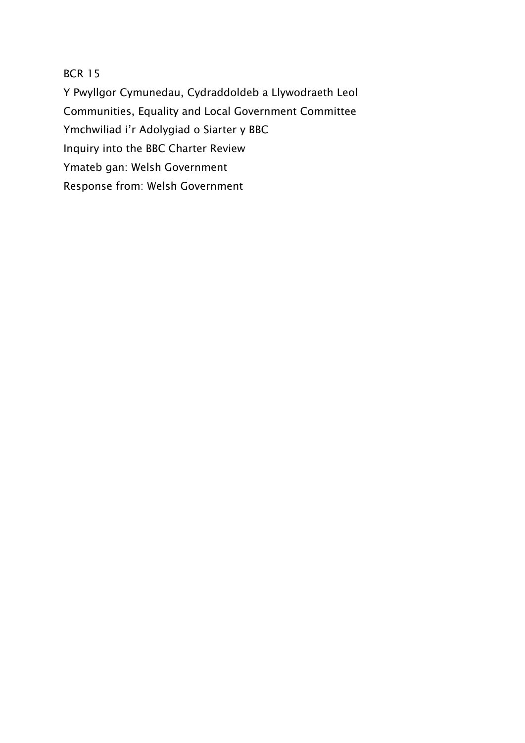BCR 15

Y Pwyllgor Cymunedau, Cydraddoldeb a Llywodraeth Leol Communities, Equality and Local Government Committee Ymchwiliad i'r Adolygiad o Siarter y BBC Inquiry into the BBC Charter Review Ymateb gan: Welsh Government Response from: Welsh Government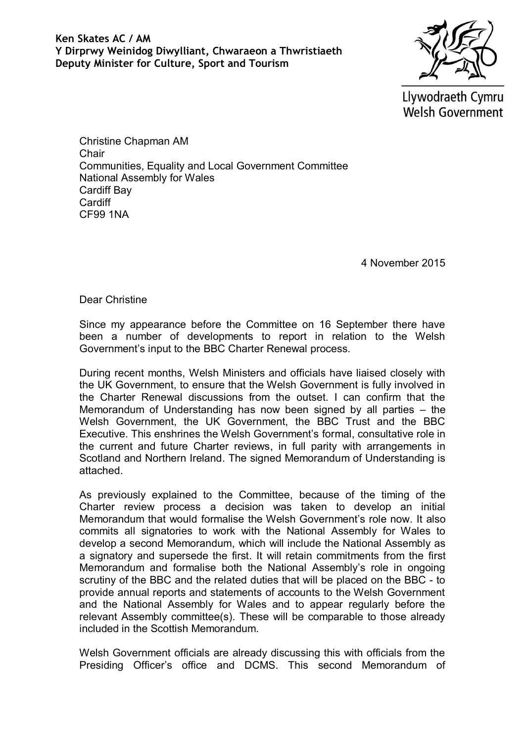Llywodraeth Cymru **Welsh Government** 

Christine Chapman AM **Chair** Communities, Equality and Local Government Committee National Assembly for Wales Cardiff Bay **Cardiff** CF99 1NA

4 November 2015

Dear Christine

Since my appearance before the Committee on 16 September there have been a number of developments to report in relation to the Welsh Government's input to the BBC Charter Renewal process.

During recent months, Welsh Ministers and officials have liaised closely with the UK Government, to ensure that the Welsh Government is fully involved in the Charter Renewal discussions from the outset. I can confirm that the Memorandum of Understanding has now been signed by all parties – the Welsh Government, the UK Government, the BBC Trust and the BBC Executive. This enshrines the Welsh Government's formal, consultative role in the current and future Charter reviews, in full parity with arrangements in Scotland and Northern Ireland. The signed Memorandum of Understanding is attached.

As previously explained to the Committee, because of the timing of the Charter review process a decision was taken to develop an initial Memorandum that would formalise the Welsh Government's role now. It also commits all signatories to work with the National Assembly for Wales to develop a second Memorandum, which will include the National Assembly as a signatory and supersede the first. It will retain commitments from the first Memorandum and formalise both the National Assembly's role in ongoing scrutiny of the BBC and the related duties that will be placed on the BBC - to provide annual reports and statements of accounts to the Welsh Government and the National Assembly for Wales and to appear regularly before the relevant Assembly committee(s). These will be comparable to those already included in the Scottish Memorandum.

Welsh Government officials are already discussing this with officials from the Presiding Officer's office and DCMS. This second Memorandum of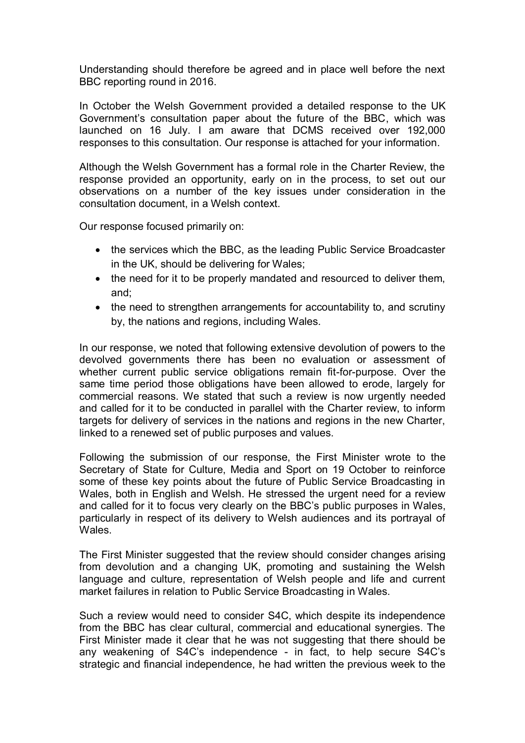Understanding should therefore be agreed and in place well before the next BBC reporting round in 2016.

In October the Welsh Government provided a detailed response to the UK Government's consultation paper about the future of the BBC, which was launched on 16 July. I am aware that DCMS received over 192,000 responses to this consultation. Our response is attached for your information.

Although the Welsh Government has a formal role in the Charter Review, the response provided an opportunity, early on in the process, to set out our observations on a number of the key issues under consideration in the consultation document, in a Welsh context.

Our response focused primarily on:

- the services which the BBC, as the leading Public Service Broadcaster in the UK, should be delivering for Wales;
- the need for it to be properly mandated and resourced to deliver them, and;
- the need to strengthen arrangements for accountability to, and scrutiny by, the nations and regions, including Wales.

In our response, we noted that following extensive devolution of powers to the devolved governments there has been no evaluation or assessment of whether current public service obligations remain fit-for-purpose. Over the same time period those obligations have been allowed to erode, largely for commercial reasons. We stated that such a review is now urgently needed and called for it to be conducted in parallel with the Charter review, to inform targets for delivery of services in the nations and regions in the new Charter, linked to a renewed set of public purposes and values.

Following the submission of our response, the First Minister wrote to the Secretary of State for Culture, Media and Sport on 19 October to reinforce some of these key points about the future of Public Service Broadcasting in Wales, both in English and Welsh. He stressed the urgent need for a review and called for it to focus very clearly on the BBC's public purposes in Wales, particularly in respect of its delivery to Welsh audiences and its portrayal of **Wales** 

The First Minister suggested that the review should consider changes arising from devolution and a changing UK, promoting and sustaining the Welsh language and culture, representation of Welsh people and life and current market failures in relation to Public Service Broadcasting in Wales.

Such a review would need to consider S4C, which despite its independence from the BBC has clear cultural, commercial and educational synergies. The First Minister made it clear that he was not suggesting that there should be any weakening of S4C's independence - in fact, to help secure S4C's strategic and financial independence, he had written the previous week to the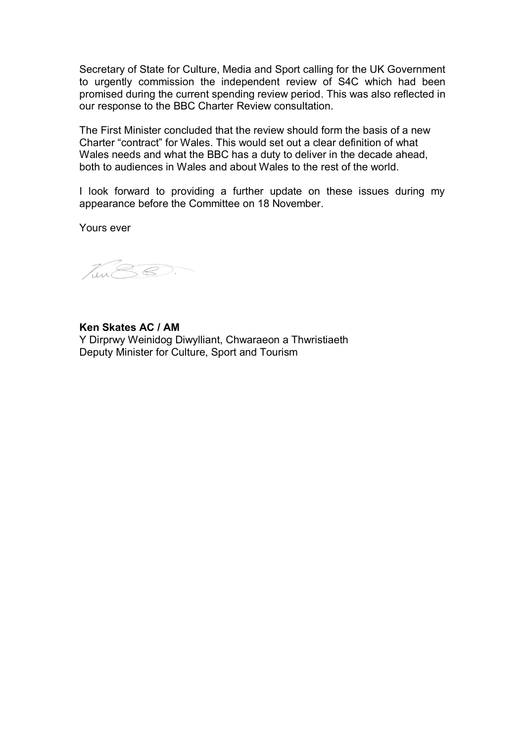Secretary of State for Culture, Media and Sport calling for the UK Government to urgently commission the independent review of S4C which had been promised during the current spending review period. This was also reflected in our response to the BBC Charter Review consultation.

The First Minister concluded that the review should form the basis of a new Charter "contract" for Wales. This would set out a clear definition of what Wales needs and what the BBC has a duty to deliver in the decade ahead, both to audiences in Wales and about Wales to the rest of the world.

I look forward to providing a further update on these issues during my appearance before the Committee on 18 November.

Yours ever

Ten SS.

## **Ken Skates AC / AM**

Y Dirprwy Weinidog Diwylliant, Chwaraeon a Thwristiaeth Deputy Minister for Culture, Sport and Tourism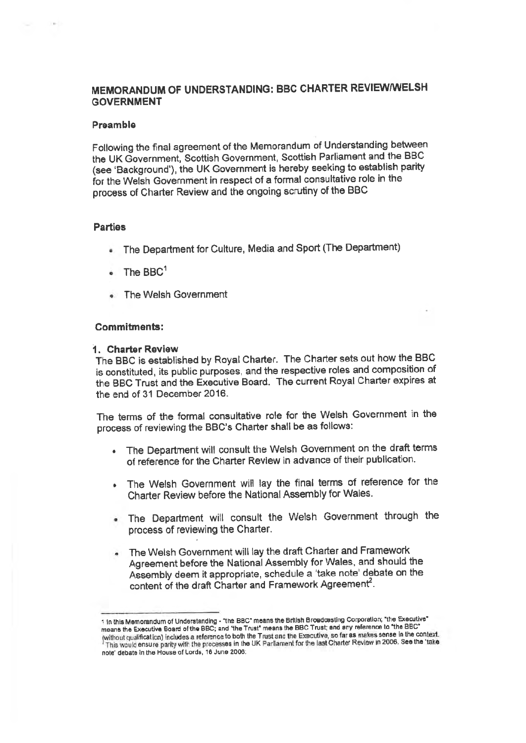## MEMORANDUM OF UNDERSTANDING: BBC CHARTER REVIEW/WELSH **GOVERNMENT**

#### Preamble

Following the final agreement of the Memorandum of Understanding between the UK Government, Scottish Government, Scottish Parliament and the BBC (see 'Background'), the UK Government is hereby seeking to establish parity for the Welsh Government in respect of a formal consultative role in the process of Charter Review and the ongoing scrutiny of the BBC

#### **Parties**

- The Department for Culture, Media and Sport (The Department)
- The  $BBC<sup>1</sup>$
- The Welsh Government

#### **Commitments:**

#### 1. Charter Review

The BBC is established by Royal Charter. The Charter sets out how the BBC is constituted, its public purposes, and the respective roles and composition of the BBC Trust and the Executive Board. The current Royal Charter expires at the end of 31 December 2016.

The terms of the formal consultative role for the Welsh Government in the process of reviewing the BBC's Charter shall be as follows:

- The Department will consult the Welsh Government on the draft terms of reference for the Charter Review in advance of their publication.
- The Welsh Government will lay the final terms of reference for the Charter Review before the National Assembly for Wales.
- . The Department will consult the Welsh Government through the process of reviewing the Charter.
- . The Welsh Government will lay the draft Charter and Framework Agreement before the National Assembly for Wales, and should the Assembly deem it appropriate, schedule a 'take note' debate on the content of the draft Charter and Framework Agreement<sup>2</sup>.

<sup>1</sup> In this Memorandum of Understanding - "the BBC" means the British Broadcasting Corporation; "the Executive" means the Executive Board of the BBC; and 'the Trust" means the BBC Trust; and any reference to "the BBC" without qualification) includes a reference to both the Trust and the Executive, so far as makes sense in the context. This would ensure parity with the processes in the UK Parliament for the last Charter Review in 2006. See the 'take note' debate in the House of Lords, 16 June 2006: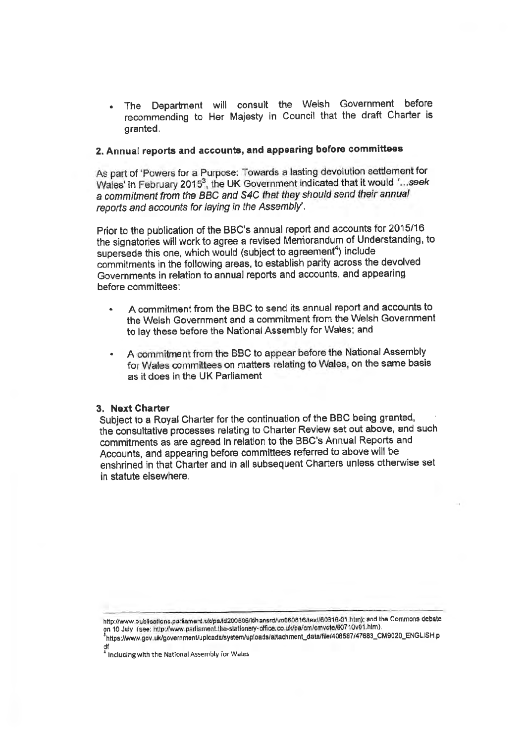Department will consult the Welsh Government before The recommending to Her Majesty in Council that the draft Charter is granted.

## 2. Annual reports and accounts, and appearing before committees

As part of 'Powers for a Purpose: Towards a lasting devolution settlement for Wales' in February 2015<sup>3</sup>, the UK Government indicated that it would '...seek a commitment from the BBC and S4C that they should send their annual reports and accounts for laying in the Assembly.

Prior to the publication of the BBC's annual report and accounts for 2015/16 the signatories will work to agree a revised Memorandum of Understanding, to supersede this one, which would (subject to agreement<sup>4</sup>) include commitments in the following areas, to establish parity across the devolved Governments in relation to annual reports and accounts, and appearing before committees:

- A commitment from the BBC to send its annual report and accounts to the Welsh Government and a commitment from the Welsh Government to lay these before the National Assembly for Wales; and
- A commitment from the BBC to appear before the National Assembly for Wales committees on matters relating to Wales, on the same basis as it does in the UK Parliament

#### 3. Next Charter

Subject to a Royal Charter for the continuation of the BBC being granted, the consultative processes relating to Charter Review set out above, and such commitments as are agreed in relation to the BBC's Annual Reports and Accounts, and appearing before committees referred to above will be enshrined in that Charter and in all subsequent Charters unless otherwise set in statute elsewhere.

http://www.publications.parliament.uk/pa/ld200506/idhansrd/vo060616/text/60816-01.htm); and the Commons debate on 10 July (see: http://www.parliament.the-stationery-office.co.uk/pa/cm/cmvote/60710v01.htm).

1https://www.gov.uk/government/uplcads/system/uploads/attachment\_data/file/408587/47683\_CM9020\_ENGLISH.p

df<br><sup>4</sup> Inclucing with the National Assembly for Wales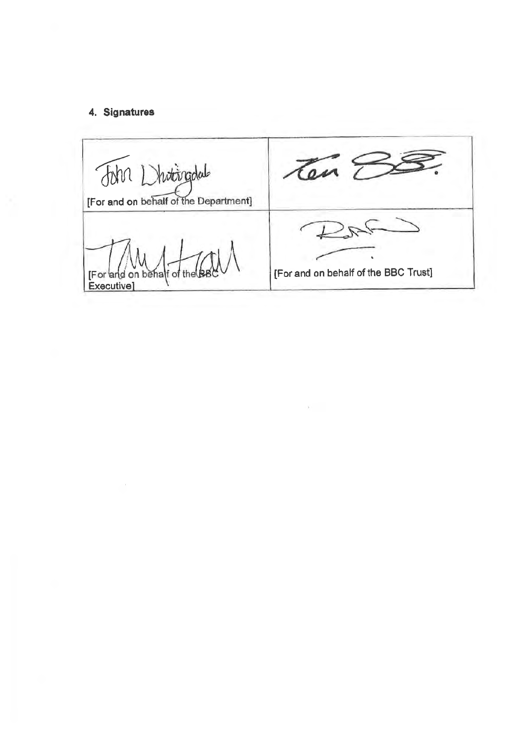## 4. Signatures

Ten E John Dhottingdal [For and on behalf of the Department] こと [For and on behalf of the BBC Trust] [For and on behalf of the<br>Executive]

 $\rightarrow$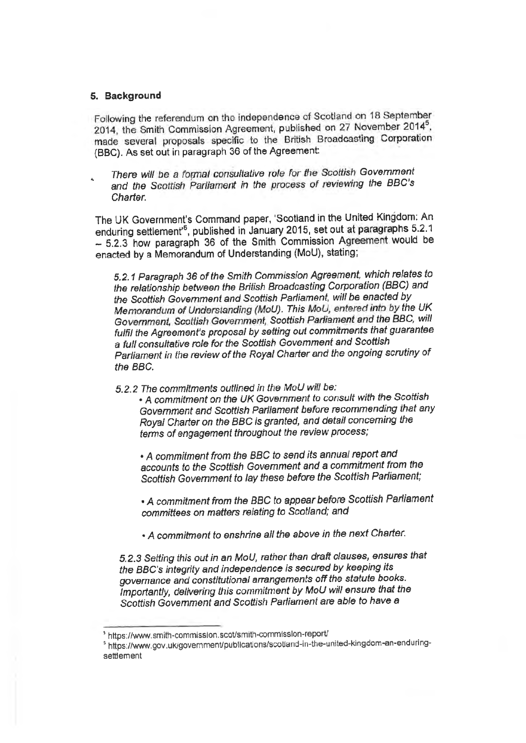#### 5. Background

Following the referendum on the independence of Scotland on 18 September 2014, the Smith Commission Agreement, published on 27 November 2014<sup>5</sup>, made several proposals specific to the British Broadcasting Corporation (BBC). As set out in paragraph 36 of the Agreement:

There will be a formal consultative role for the Scottish Government and the Scottish Parliament in the process of reviewing the BBC's Charter.

The UK Government's Command paper, 'Scotland in the United Kingdom: An enduring settlement'<sup>6</sup>, published in January 2015, set out at paragraphs 5.2.1 - 5.2.3 how paragraph 36 of the Smith Commission Agreement would be enacted by a Memorandum of Understanding (MoU), stating;

5.2.1 Paragraph 36 of the Smith Commission Agreement, which relates to the relationship between the British Broadcasting Corporation (BBC) and the Scottish Government and Scottish Parliament, will be enacted by Memorandum of Understanding (MoU). This MoU, entered into by the UK Government, Scottish Government, Scottish Parliament and the BBC, will fulfil the Agreement's proposal by setting out commitments that guarantee a full consultative role for the Scottish Government and Scottish Parliament in the review of the Royal Charter and the ongoing scrutiny of the BBC.

- 5.2.2 The commitments outlined in the MoU will be:
	- A commitment on the UK Government to consult with the Scottish Government and Scottish Parliament before recommending that any Royal Charter on the BBC is granted, and detail concerning the terms of engagement throughout the review process;

• A commitment from the BBC to send its annual report and accounts to the Scottish Government and a commitment from the Scottish Government to lay these before the Scottish Parliament;

• A commitment from the BBC to appear before Scottish Parliament committees on matters relating to Scotland; and

• A commitment to enshrine all the above in the next Charter.

5.2.3 Setting this out in an MoU, rather than draft clauses, ensures that the BBC's integrity and independence is secured by keeping its governance and constitutional arrangements off the statute books. Importantly, delivering this commitment by MoU will ensure that the Scottish Government and Scottish Parliament are able to have a

<sup>&</sup>lt;sup>5</sup> https://www.smith-commission.scot/smith-commission-report/

<sup>&</sup>lt;sup>5</sup> https://www.gov.uk/government/publications/scotiand-in-the-united-kingdom-an-enduringsettlement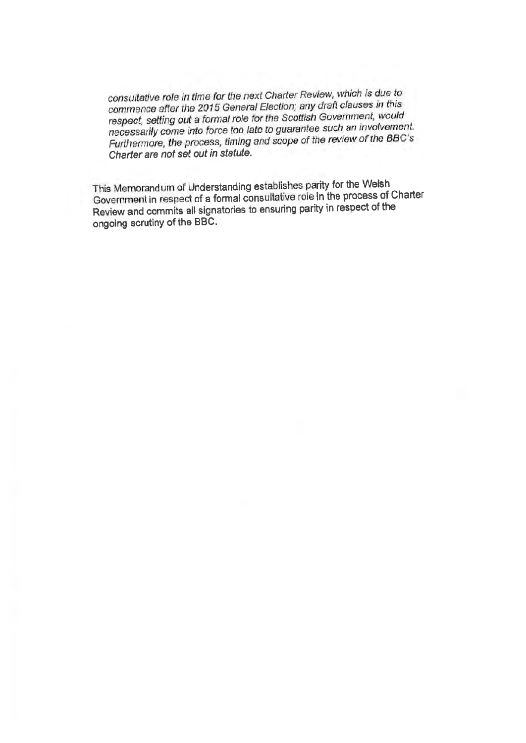consultative role in time for the next Charter Review, which is due to commence after the 2015 General Election; any draft clauses in this respect, setting out a formal role for the Scottish Government, would necessarily come into force too late to guarantee such an involvement. Furthermore, the process, timing and scope of the review of the BBC's Charter are not set out in statute.

This Memorandum of Understanding establishes parity for the Welsh Government in respect of a formal consultative role in the process of Charter Review and commits all signatories to ensuring parity in respect of the ongoing scrutiny of the BBC.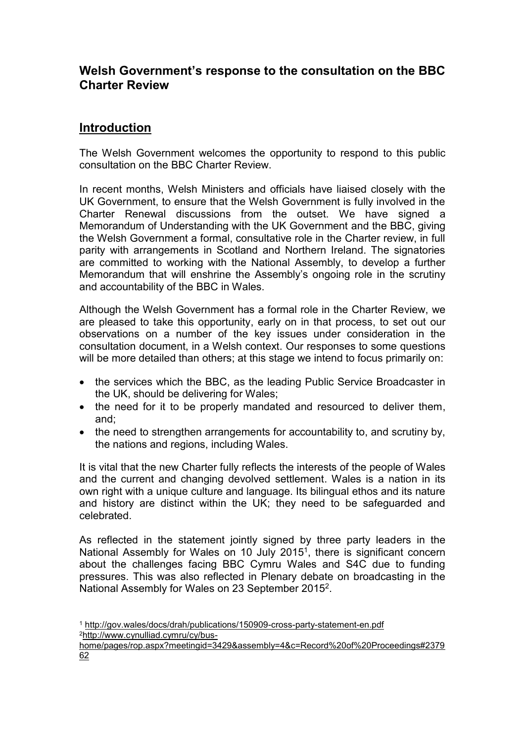# **Welsh Government's response to the consultation on the BBC Charter Review**

# **Introduction**

The Welsh Government welcomes the opportunity to respond to this public consultation on the BBC Charter Review.

In recent months, Welsh Ministers and officials have liaised closely with the UK Government, to ensure that the Welsh Government is fully involved in the Charter Renewal discussions from the outset. We have signed a Memorandum of Understanding with the UK Government and the BBC, giving the Welsh Government a formal, consultative role in the Charter review, in full parity with arrangements in Scotland and Northern Ireland. The signatories are committed to working with the National Assembly, to develop a further Memorandum that will enshrine the Assembly's ongoing role in the scrutiny and accountability of the BBC in Wales.

Although the Welsh Government has a formal role in the Charter Review, we are pleased to take this opportunity, early on in that process, to set out our observations on a number of the key issues under consideration in the consultation document, in a Welsh context. Our responses to some questions will be more detailed than others; at this stage we intend to focus primarily on:

- the services which the BBC, as the leading Public Service Broadcaster in the UK, should be delivering for Wales;
- the need for it to be properly mandated and resourced to deliver them, and;
- the need to strengthen arrangements for accountability to, and scrutiny by, the nations and regions, including Wales.

It is vital that the new Charter fully reflects the interests of the people of Wales and the current and changing devolved settlement. Wales is a nation in its own right with a unique culture and language. Its bilingual ethos and its nature and history are distinct within the UK; they need to be safeguarded and celebrated.

As reflected in the statement jointly signed by three party leaders in the National Assembly for Wales on 10 July 2015<sup>1</sup>, there is significant concern about the challenges facing BBC Cymru Wales and S4C due to funding pressures. This was also reflected in Plenary debate on broadcasting in the National Assembly for Wales on 23 September 2015<sup>2</sup>.

<sup>1</sup> <http://gov.wales/docs/drah/publications/150909-cross-party-statement-en.pdf> 2[http://www.cynulliad.cymru/cy/bus-](http://www.cynulliad.cymru/cy/bus-home/pages/rop.aspx?meetingid=3429&assembly=4&c=Record%20of%20Proceedings#237962)

[home/pages/rop.aspx?meetingid=3429&assembly=4&c=Record%20of%20Proceedings#2379](http://www.cynulliad.cymru/cy/bus-home/pages/rop.aspx?meetingid=3429&assembly=4&c=Record%20of%20Proceedings#237962) [62](http://www.cynulliad.cymru/cy/bus-home/pages/rop.aspx?meetingid=3429&assembly=4&c=Record%20of%20Proceedings#237962)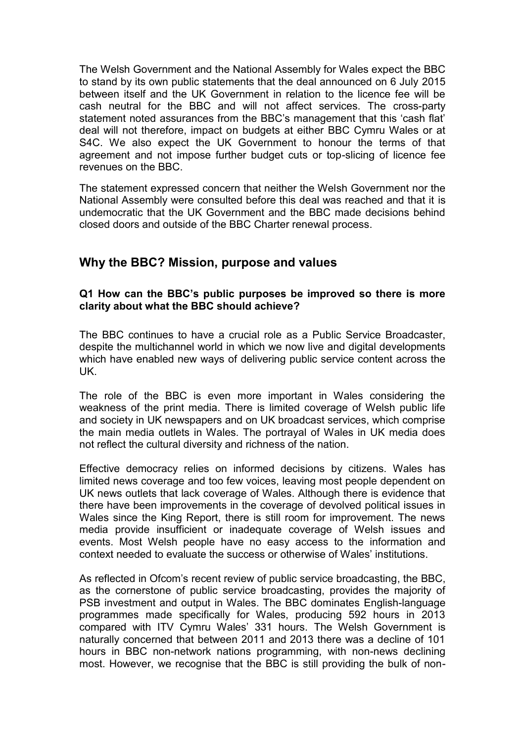The Welsh Government and the National Assembly for Wales expect the BBC to stand by its own public statements that the deal announced on 6 July 2015 between itself and the UK Government in relation to the licence fee will be cash neutral for the BBC and will not affect services. The cross-party statement noted assurances from the BBC's management that this 'cash flat' deal will not therefore, impact on budgets at either BBC Cymru Wales or at S4C. We also expect the UK Government to honour the terms of that agreement and not impose further budget cuts or top-slicing of licence fee revenues on the BBC.

The statement expressed concern that neither the Welsh Government nor the National Assembly were consulted before this deal was reached and that it is undemocratic that the UK Government and the BBC made decisions behind closed doors and outside of the BBC Charter renewal process.

# **Why the BBC? Mission, purpose and values**

### **Q1 How can the BBC's public purposes be improved so there is more clarity about what the BBC should achieve?**

The BBC continues to have a crucial role as a Public Service Broadcaster, despite the multichannel world in which we now live and digital developments which have enabled new ways of delivering public service content across the UK.

The role of the BBC is even more important in Wales considering the weakness of the print media. There is limited coverage of Welsh public life and society in UK newspapers and on UK broadcast services, which comprise the main media outlets in Wales. The portrayal of Wales in UK media does not reflect the cultural diversity and richness of the nation.

Effective democracy relies on informed decisions by citizens. Wales has limited news coverage and too few voices, leaving most people dependent on UK news outlets that lack coverage of Wales. Although there is evidence that there have been improvements in the coverage of devolved political issues in Wales since the King Report, there is still room for improvement. The news media provide insufficient or inadequate coverage of Welsh issues and events. Most Welsh people have no easy access to the information and context needed to evaluate the success or otherwise of Wales' institutions.

As reflected in Ofcom's recent review of public service broadcasting, the BBC, as the cornerstone of public service broadcasting, provides the majority of PSB investment and output in Wales. The BBC dominates English-language programmes made specifically for Wales, producing 592 hours in 2013 compared with ITV Cymru Wales' 331 hours. The Welsh Government is naturally concerned that between 2011 and 2013 there was a decline of 101 hours in BBC non-network nations programming, with non-news declining most. However, we recognise that the BBC is still providing the bulk of non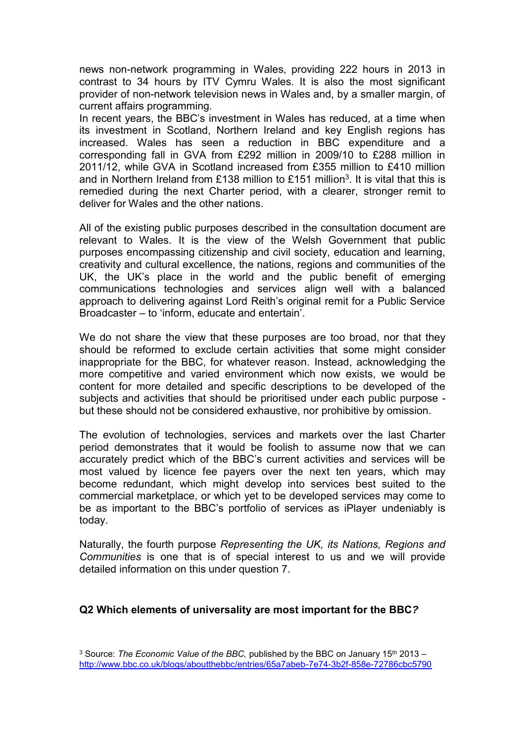news non-network programming in Wales, providing 222 hours in 2013 in contrast to 34 hours by ITV Cymru Wales. It is also the most significant provider of non-network television news in Wales and, by a smaller margin, of current affairs programming.

In recent years, the BBC's investment in Wales has reduced, at a time when its investment in Scotland, Northern Ireland and key English regions has increased. Wales has seen a reduction in BBC expenditure and a corresponding fall in GVA from £292 million in 2009/10 to £288 million in 2011/12, while GVA in Scotland increased from £355 million to £410 million and in Northern Ireland from £138 million to £151 million<sup>3</sup>. It is vital that this is remedied during the next Charter period, with a clearer, stronger remit to deliver for Wales and the other nations.

All of the existing public purposes described in the consultation document are relevant to Wales. It is the view of the Welsh Government that public purposes encompassing citizenship and civil society, education and learning, creativity and cultural excellence, the nations, regions and communities of the UK, the UK's place in the world and the public benefit of emerging communications technologies and services align well with a balanced approach to delivering against Lord Reith's original remit for a Public Service Broadcaster – to 'inform, educate and entertain'.

We do not share the view that these purposes are too broad, nor that they should be reformed to exclude certain activities that some might consider inappropriate for the BBC, for whatever reason. Instead, acknowledging the more competitive and varied environment which now exists, we would be content for more detailed and specific descriptions to be developed of the subjects and activities that should be prioritised under each public purpose but these should not be considered exhaustive, nor prohibitive by omission.

The evolution of technologies, services and markets over the last Charter period demonstrates that it would be foolish to assume now that we can accurately predict which of the BBC's current activities and services will be most valued by licence fee payers over the next ten years, which may become redundant, which might develop into services best suited to the commercial marketplace, or which yet to be developed services may come to be as important to the BBC's portfolio of services as iPlayer undeniably is today.

Naturally, the fourth purpose *Representing the UK, its Nations, Regions and Communities* is one that is of special interest to us and we will provide detailed information on this under question 7.

### **Q2 Which elements of universality are most important for the BBC***?*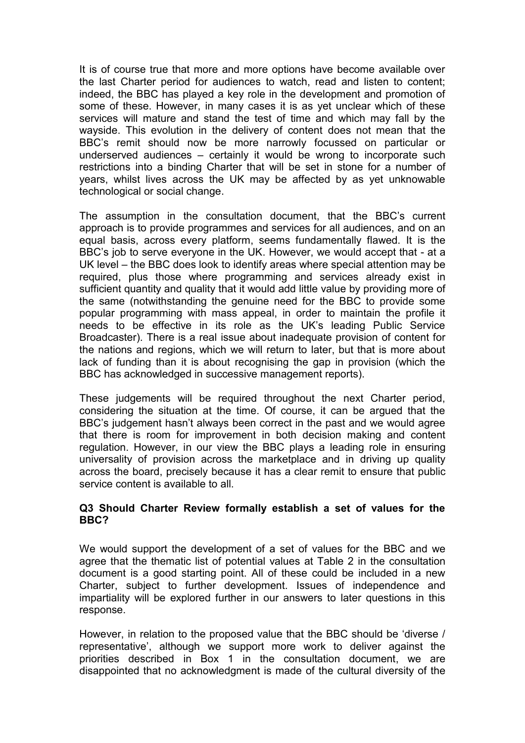It is of course true that more and more options have become available over the last Charter period for audiences to watch, read and listen to content; indeed, the BBC has played a key role in the development and promotion of some of these. However, in many cases it is as yet unclear which of these services will mature and stand the test of time and which may fall by the wayside. This evolution in the delivery of content does not mean that the BBC's remit should now be more narrowly focussed on particular or underserved audiences – certainly it would be wrong to incorporate such restrictions into a binding Charter that will be set in stone for a number of years, whilst lives across the UK may be affected by as yet unknowable technological or social change.

The assumption in the consultation document, that the BBC's current approach is to provide programmes and services for all audiences, and on an equal basis, across every platform, seems fundamentally flawed. It is the BBC's job to serve everyone in the UK. However, we would accept that - at a UK level – the BBC does look to identify areas where special attention may be required, plus those where programming and services already exist in sufficient quantity and quality that it would add little value by providing more of the same (notwithstanding the genuine need for the BBC to provide some popular programming with mass appeal, in order to maintain the profile it needs to be effective in its role as the UK's leading Public Service Broadcaster). There is a real issue about inadequate provision of content for the nations and regions, which we will return to later, but that is more about lack of funding than it is about recognising the gap in provision (which the BBC has acknowledged in successive management reports).

These judgements will be required throughout the next Charter period, considering the situation at the time. Of course, it can be argued that the BBC's judgement hasn't always been correct in the past and we would agree that there is room for improvement in both decision making and content regulation. However, in our view the BBC plays a leading role in ensuring universality of provision across the marketplace and in driving up quality across the board, precisely because it has a clear remit to ensure that public service content is available to all.

### **Q3 Should Charter Review formally establish a set of values for the BBC?**

We would support the development of a set of values for the BBC and we agree that the thematic list of potential values at Table 2 in the consultation document is a good starting point. All of these could be included in a new Charter, subject to further development. Issues of independence and impartiality will be explored further in our answers to later questions in this response.

However, in relation to the proposed value that the BBC should be 'diverse / representative', although we support more work to deliver against the priorities described in Box 1 in the consultation document, we are disappointed that no acknowledgment is made of the cultural diversity of the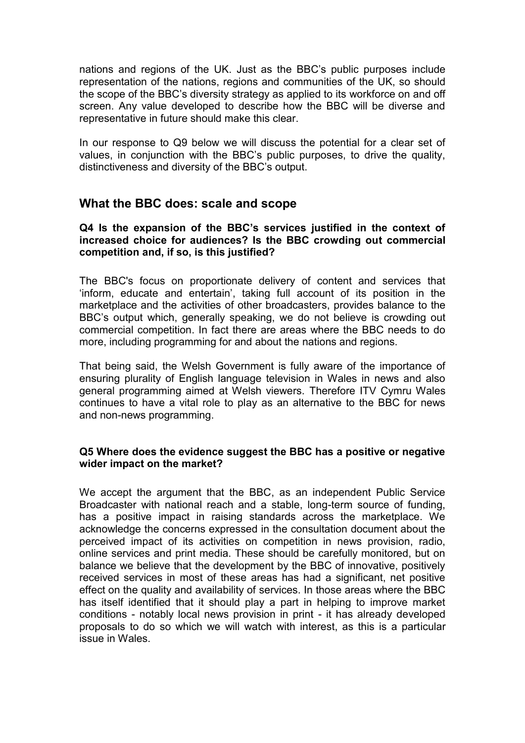nations and regions of the UK. Just as the BBC's public purposes include representation of the nations, regions and communities of the UK, so should the scope of the BBC's diversity strategy as applied to its workforce on and off screen. Any value developed to describe how the BBC will be diverse and representative in future should make this clear.

In our response to Q9 below we will discuss the potential for a clear set of values, in conjunction with the BBC's public purposes, to drive the quality, distinctiveness and diversity of the BBC's output.

## **What the BBC does: scale and scope**

### **Q4 Is the expansion of the BBC's services justified in the context of increased choice for audiences? Is the BBC crowding out commercial competition and, if so, is this justified?**

The BBC's focus on proportionate delivery of content and services that 'inform, educate and entertain', taking full account of its position in the marketplace and the activities of other broadcasters, provides balance to the BBC's output which, generally speaking, we do not believe is crowding out commercial competition. In fact there are areas where the BBC needs to do more, including programming for and about the nations and regions.

That being said, the Welsh Government is fully aware of the importance of ensuring plurality of English language television in Wales in news and also general programming aimed at Welsh viewers. Therefore ITV Cymru Wales continues to have a vital role to play as an alternative to the BBC for news and non-news programming.

#### **Q5 Where does the evidence suggest the BBC has a positive or negative wider impact on the market?**

We accept the argument that the BBC, as an independent Public Service Broadcaster with national reach and a stable, long-term source of funding, has a positive impact in raising standards across the marketplace. We acknowledge the concerns expressed in the consultation document about the perceived impact of its activities on competition in news provision, radio, online services and print media. These should be carefully monitored, but on balance we believe that the development by the BBC of innovative, positively received services in most of these areas has had a significant, net positive effect on the quality and availability of services. In those areas where the BBC has itself identified that it should play a part in helping to improve market conditions - notably local news provision in print - it has already developed proposals to do so which we will watch with interest, as this is a particular issue in Wales.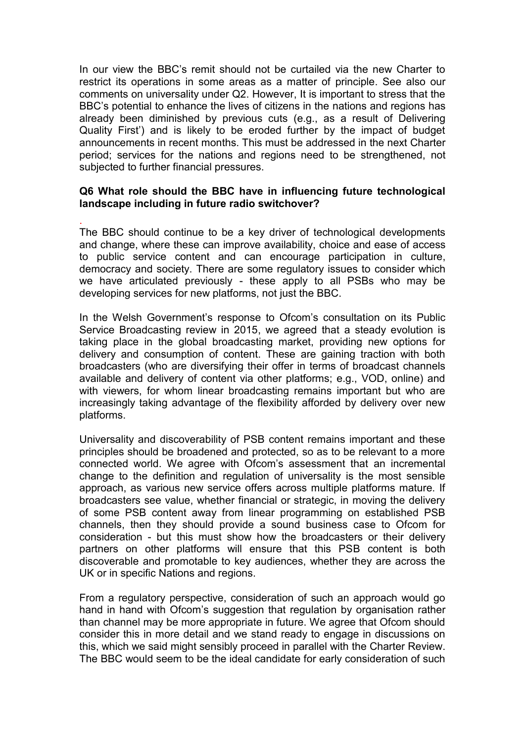In our view the BBC's remit should not be curtailed via the new Charter to restrict its operations in some areas as a matter of principle. See also our comments on universality under Q2. However, It is important to stress that the BBC's potential to enhance the lives of citizens in the nations and regions has already been diminished by previous cuts (e.g., as a result of Delivering Quality First') and is likely to be eroded further by the impact of budget announcements in recent months. This must be addressed in the next Charter period; services for the nations and regions need to be strengthened, not subjected to further financial pressures.

#### **Q6 What role should the BBC have in influencing future technological landscape including in future radio switchover?**

. The BBC should continue to be a key driver of technological developments and change, where these can improve availability, choice and ease of access to public service content and can encourage participation in culture, democracy and society. There are some regulatory issues to consider which we have articulated previously - these apply to all PSBs who may be developing services for new platforms, not just the BBC.

In the Welsh Government's response to Ofcom's consultation on its Public Service Broadcasting review in 2015, we agreed that a steady evolution is taking place in the global broadcasting market, providing new options for delivery and consumption of content. These are gaining traction with both broadcasters (who are diversifying their offer in terms of broadcast channels available and delivery of content via other platforms; e.g., VOD, online) and with viewers, for whom linear broadcasting remains important but who are increasingly taking advantage of the flexibility afforded by delivery over new platforms.

Universality and discoverability of PSB content remains important and these principles should be broadened and protected, so as to be relevant to a more connected world. We agree with Ofcom's assessment that an incremental change to the definition and regulation of universality is the most sensible approach, as various new service offers across multiple platforms mature. If broadcasters see value, whether financial or strategic, in moving the delivery of some PSB content away from linear programming on established PSB channels, then they should provide a sound business case to Ofcom for consideration - but this must show how the broadcasters or their delivery partners on other platforms will ensure that this PSB content is both discoverable and promotable to key audiences, whether they are across the UK or in specific Nations and regions.

From a regulatory perspective, consideration of such an approach would go hand in hand with Ofcom's suggestion that regulation by organisation rather than channel may be more appropriate in future. We agree that Ofcom should consider this in more detail and we stand ready to engage in discussions on this, which we said might sensibly proceed in parallel with the Charter Review. The BBC would seem to be the ideal candidate for early consideration of such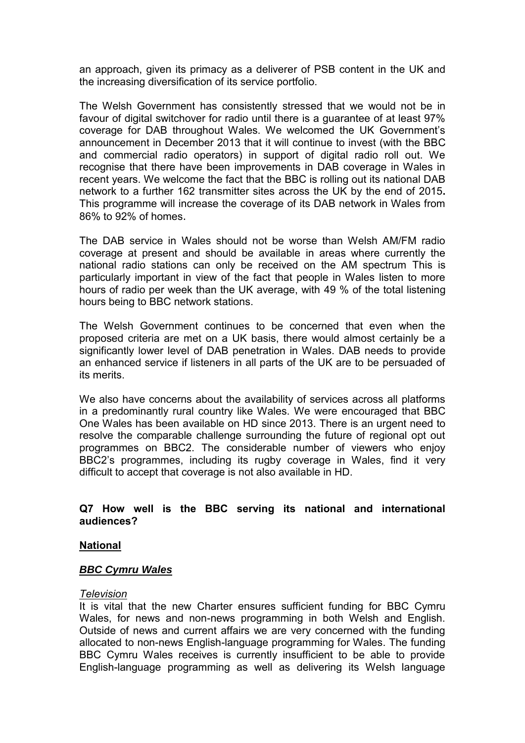an approach, given its primacy as a deliverer of PSB content in the UK and the increasing diversification of its service portfolio.

The Welsh Government has consistently stressed that we would not be in favour of digital switchover for radio until there is a guarantee of at least 97% coverage for DAB throughout Wales. We welcomed the UK Government's announcement in December 2013 that it will continue to invest (with the BBC and commercial radio operators) in support of digital radio roll out. We recognise that there have been improvements in DAB coverage in Wales in recent years. We welcome the fact that the BBC is rolling out its national DAB network to a further 162 transmitter sites across the UK by the end of 2015**.**  This programme will increase the coverage of its DAB network in Wales from 86% to 92% of homes.

The DAB service in Wales should not be worse than Welsh AM/FM radio coverage at present and should be available in areas where currently the national radio stations can only be received on the AM spectrum This is particularly important in view of the fact that people in Wales listen to more hours of radio per week than the UK average, with 49 % of the total listening hours being to BBC network stations.

The Welsh Government continues to be concerned that even when the proposed criteria are met on a UK basis, there would almost certainly be a significantly lower level of DAB penetration in Wales. DAB needs to provide an enhanced service if listeners in all parts of the UK are to be persuaded of its merits.

We also have concerns about the availability of services across all platforms in a predominantly rural country like Wales. We were encouraged that BBC One Wales has been available on HD since 2013. There is an urgent need to resolve the comparable challenge surrounding the future of regional opt out programmes on BBC2. The considerable number of viewers who enjoy BBC2's programmes, including its rugby coverage in Wales, find it very difficult to accept that coverage is not also available in HD.

#### **Q7 How well is the BBC serving its national and international audiences?**

### **National**

#### *BBC Cymru Wales*

#### *Television*

It is vital that the new Charter ensures sufficient funding for BBC Cymru Wales, for news and non-news programming in both Welsh and English. Outside of news and current affairs we are very concerned with the funding allocated to non-news English-language programming for Wales. The funding BBC Cymru Wales receives is currently insufficient to be able to provide English-language programming as well as delivering its Welsh language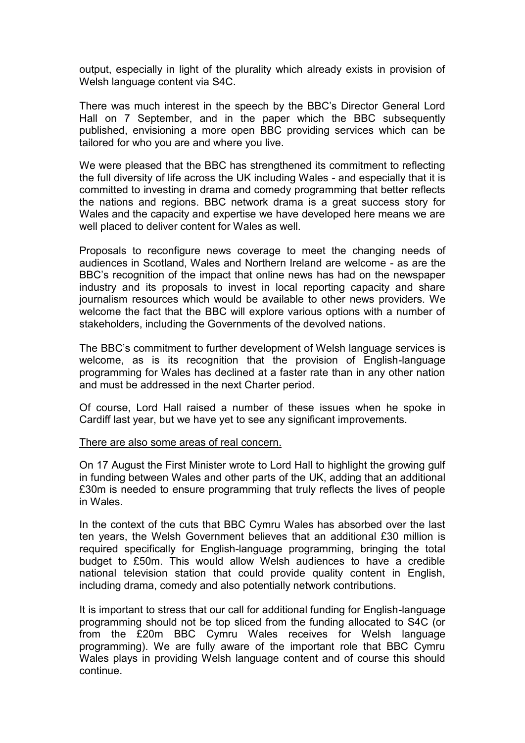output, especially in light of the plurality which already exists in provision of Welsh language content via S4C.

There was much interest in the speech by the BBC's Director General Lord Hall on 7 September, and in the paper which the BBC subsequently published, envisioning a more open BBC providing services which can be tailored for who you are and where you live.

We were pleased that the BBC has strengthened its commitment to reflecting the full diversity of life across the UK including Wales - and especially that it is committed to investing in drama and comedy programming that better reflects the nations and regions. BBC network drama is a great success story for Wales and the capacity and expertise we have developed here means we are well placed to deliver content for Wales as well.

Proposals to reconfigure news coverage to meet the changing needs of audiences in Scotland, Wales and Northern Ireland are welcome - as are the BBC's recognition of the impact that online news has had on the newspaper industry and its proposals to invest in local reporting capacity and share journalism resources which would be available to other news providers. We welcome the fact that the BBC will explore various options with a number of stakeholders, including the Governments of the devolved nations.

The BBC's commitment to further development of Welsh language services is welcome, as is its recognition that the provision of English-language programming for Wales has declined at a faster rate than in any other nation and must be addressed in the next Charter period.

Of course, Lord Hall raised a number of these issues when he spoke in Cardiff last year, but we have yet to see any significant improvements.

#### There are also some areas of real concern.

On 17 August the First Minister wrote to Lord Hall to highlight the growing gulf in funding between Wales and other parts of the UK, adding that an additional £30m is needed to ensure programming that truly reflects the lives of people in Wales.

In the context of the cuts that BBC Cymru Wales has absorbed over the last ten years, the Welsh Government believes that an additional £30 million is required specifically for English-language programming, bringing the total budget to £50m. This would allow Welsh audiences to have a credible national television station that could provide quality content in English, including drama, comedy and also potentially network contributions.

It is important to stress that our call for additional funding for English-language programming should not be top sliced from the funding allocated to S4C (or from the £20m BBC Cymru Wales receives for Welsh language programming). We are fully aware of the important role that BBC Cymru Wales plays in providing Welsh language content and of course this should continue.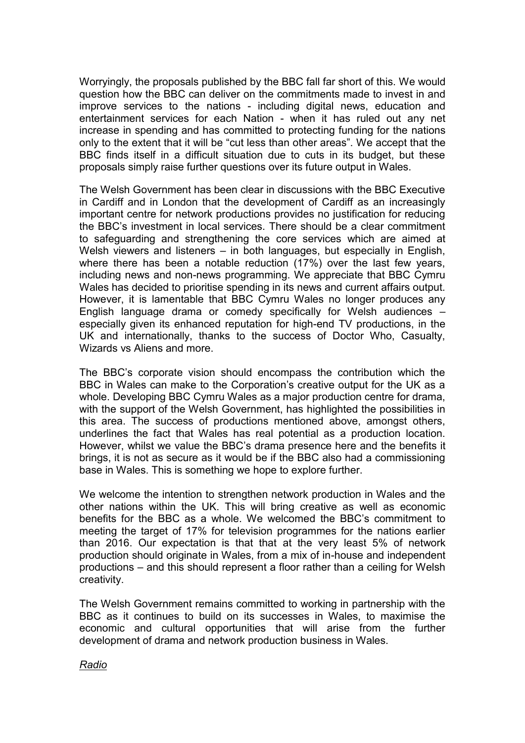Worryingly, the proposals published by the BBC fall far short of this. We would question how the BBC can deliver on the commitments made to invest in and improve services to the nations - including digital news, education and entertainment services for each Nation - when it has ruled out any net increase in spending and has committed to protecting funding for the nations only to the extent that it will be "cut less than other areas". We accept that the BBC finds itself in a difficult situation due to cuts in its budget, but these proposals simply raise further questions over its future output in Wales.

The Welsh Government has been clear in discussions with the BBC Executive in Cardiff and in London that the development of Cardiff as an increasingly important centre for network productions provides no justification for reducing the BBC's investment in local services. There should be a clear commitment to safeguarding and strengthening the core services which are aimed at Welsh viewers and listeners – in both languages, but especially in English, where there has been a notable reduction (17%) over the last few years, including news and non-news programming. We appreciate that BBC Cymru Wales has decided to prioritise spending in its news and current affairs output. However, it is lamentable that BBC Cymru Wales no longer produces any English language drama or comedy specifically for Welsh audiences – especially given its enhanced reputation for high-end TV productions, in the UK and internationally, thanks to the success of Doctor Who, Casualty, Wizards vs Aliens and more.

The BBC's corporate vision should encompass the contribution which the BBC in Wales can make to the Corporation's creative output for the UK as a whole. Developing BBC Cymru Wales as a major production centre for drama, with the support of the Welsh Government, has highlighted the possibilities in this area. The success of productions mentioned above, amongst others, underlines the fact that Wales has real potential as a production location. However, whilst we value the BBC's drama presence here and the benefits it brings, it is not as secure as it would be if the BBC also had a commissioning base in Wales. This is something we hope to explore further.

We welcome the intention to strengthen network production in Wales and the other nations within the UK. This will bring creative as well as economic benefits for the BBC as a whole. We welcomed the BBC's commitment to meeting the target of 17% for television programmes for the nations earlier than 2016. Our expectation is that that at the very least 5% of network production should originate in Wales, from a mix of in-house and independent productions – and this should represent a floor rather than a ceiling for Welsh creativity.

The Welsh Government remains committed to working in partnership with the BBC as it continues to build on its successes in Wales, to maximise the economic and cultural opportunities that will arise from the further development of drama and network production business in Wales.

#### *Radio*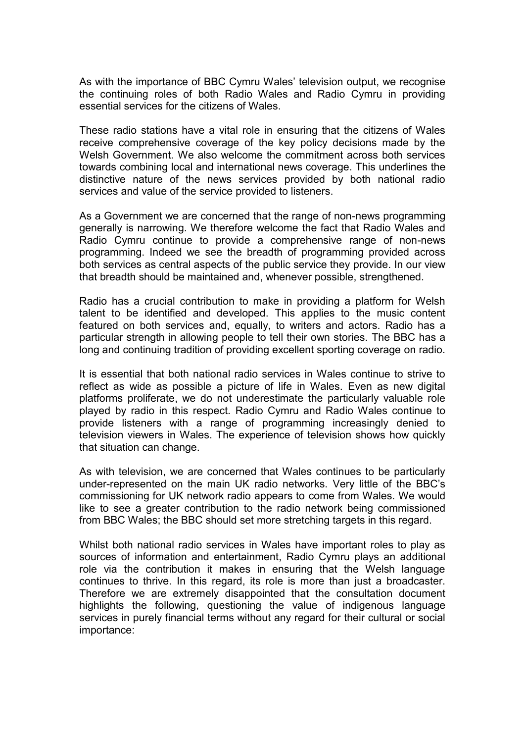As with the importance of BBC Cymru Wales' television output, we recognise the continuing roles of both Radio Wales and Radio Cymru in providing essential services for the citizens of Wales.

These radio stations have a vital role in ensuring that the citizens of Wales receive comprehensive coverage of the key policy decisions made by the Welsh Government. We also welcome the commitment across both services towards combining local and international news coverage. This underlines the distinctive nature of the news services provided by both national radio services and value of the service provided to listeners.

As a Government we are concerned that the range of non-news programming generally is narrowing. We therefore welcome the fact that Radio Wales and Radio Cymru continue to provide a comprehensive range of non-news programming. Indeed we see the breadth of programming provided across both services as central aspects of the public service they provide. In our view that breadth should be maintained and, whenever possible, strengthened.

Radio has a crucial contribution to make in providing a platform for Welsh talent to be identified and developed. This applies to the music content featured on both services and, equally, to writers and actors. Radio has a particular strength in allowing people to tell their own stories. The BBC has a long and continuing tradition of providing excellent sporting coverage on radio.

It is essential that both national radio services in Wales continue to strive to reflect as wide as possible a picture of life in Wales. Even as new digital platforms proliferate, we do not underestimate the particularly valuable role played by radio in this respect. Radio Cymru and Radio Wales continue to provide listeners with a range of programming increasingly denied to television viewers in Wales. The experience of television shows how quickly that situation can change.

As with television, we are concerned that Wales continues to be particularly under-represented on the main UK radio networks. Very little of the BBC's commissioning for UK network radio appears to come from Wales. We would like to see a greater contribution to the radio network being commissioned from BBC Wales; the BBC should set more stretching targets in this regard.

Whilst both national radio services in Wales have important roles to play as sources of information and entertainment, Radio Cymru plays an additional role via the contribution it makes in ensuring that the Welsh language continues to thrive. In this regard, its role is more than just a broadcaster. Therefore we are extremely disappointed that the consultation document highlights the following, questioning the value of indigenous language services in purely financial terms without any regard for their cultural or social importance: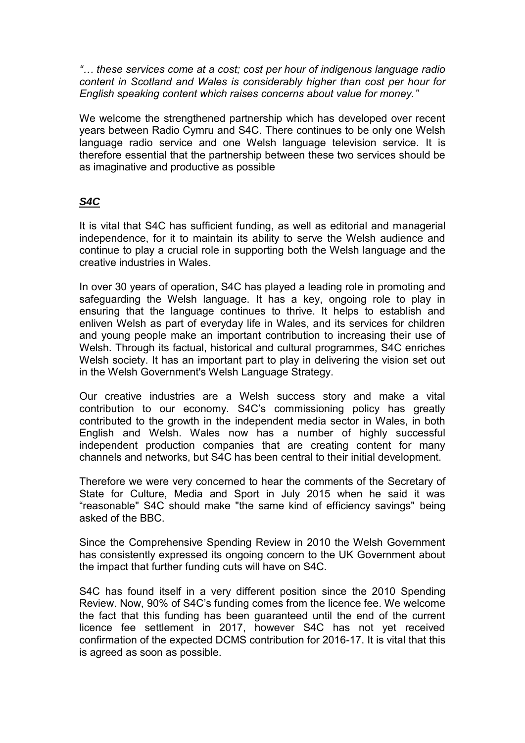*"… these services come at a cost; cost per hour of indigenous language radio content in Scotland and Wales is considerably higher than cost per hour for English speaking content which raises concerns about value for money."* 

We welcome the strengthened partnership which has developed over recent years between Radio Cymru and S4C. There continues to be only one Welsh language radio service and one Welsh language television service. It is therefore essential that the partnership between these two services should be as imaginative and productive as possible

# *S4C*

It is vital that S4C has sufficient funding, as well as editorial and managerial independence, for it to maintain its ability to serve the Welsh audience and continue to play a crucial role in supporting both the Welsh language and the creative industries in Wales.

In over 30 years of operation, S4C has played a leading role in promoting and safeguarding the Welsh language. It has a key, ongoing role to play in ensuring that the language continues to thrive. It helps to establish and enliven Welsh as part of everyday life in Wales, and its services for children and young people make an important contribution to increasing their use of Welsh. Through its factual, historical and cultural programmes, S4C enriches Welsh society. It has an important part to play in delivering the vision set out in the Welsh Government's Welsh Language Strategy.

Our creative industries are a Welsh success story and make a vital contribution to our economy. S4C's commissioning policy has greatly contributed to the growth in the independent media sector in Wales, in both English and Welsh. Wales now has a number of highly successful independent production companies that are creating content for many channels and networks, but S4C has been central to their initial development.

Therefore we were very concerned to hear the comments of the Secretary of State for Culture, Media and Sport in July 2015 when he said it was "reasonable" S4C should make "the same kind of efficiency savings" being asked of the BBC.

Since the Comprehensive Spending Review in 2010 the Welsh Government has consistently expressed its ongoing concern to the UK Government about the impact that further funding cuts will have on S4C.

S4C has found itself in a very different position since the 2010 Spending Review. Now, 90% of S4C's funding comes from the licence fee. We welcome the fact that this funding has been guaranteed until the end of the current licence fee settlement in 2017, however S4C has not yet received confirmation of the expected DCMS contribution for 2016-17. It is vital that this is agreed as soon as possible.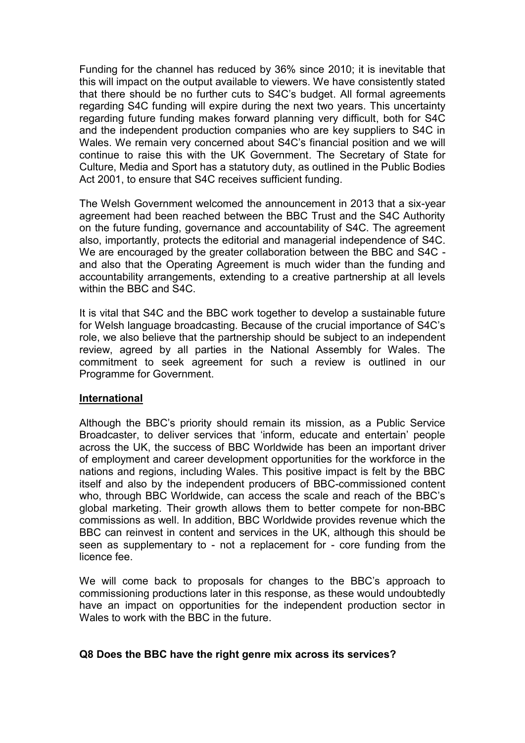Funding for the channel has reduced by 36% since 2010; it is inevitable that this will impact on the output available to viewers. We have consistently stated that there should be no further cuts to S4C's budget. All formal agreements regarding S4C funding will expire during the next two years. This uncertainty regarding future funding makes forward planning very difficult, both for S4C and the independent production companies who are key suppliers to S4C in Wales. We remain very concerned about S4C's financial position and we will continue to raise this with the UK Government. The Secretary of State for Culture, Media and Sport has a statutory duty, as outlined in the Public Bodies Act 2001, to ensure that S4C receives sufficient funding.

The Welsh Government welcomed the announcement in 2013 that a six-year agreement had been reached between the BBC Trust and the S4C Authority on the future funding, governance and accountability of S4C. The agreement also, importantly, protects the editorial and managerial independence of S4C. We are encouraged by the greater collaboration between the BBC and S4C and also that the Operating Agreement is much wider than the funding and accountability arrangements, extending to a creative partnership at all levels within the BBC and S4C.

It is vital that S4C and the BBC work together to develop a sustainable future for Welsh language broadcasting. Because of the crucial importance of S4C's role, we also believe that the partnership should be subject to an independent review, agreed by all parties in the National Assembly for Wales. The commitment to seek agreement for such a review is outlined in our Programme for Government.

### **International**

Although the BBC's priority should remain its mission, as a Public Service Broadcaster, to deliver services that 'inform, educate and entertain' people across the UK, the success of BBC Worldwide has been an important driver of employment and career development opportunities for the workforce in the nations and regions, including Wales. This positive impact is felt by the BBC itself and also by the independent producers of BBC-commissioned content who, through BBC Worldwide, can access the scale and reach of the BBC's global marketing. Their growth allows them to better compete for non-BBC commissions as well. In addition, BBC Worldwide provides revenue which the BBC can reinvest in content and services in the UK, although this should be seen as supplementary to - not a replacement for - core funding from the licence fee.

We will come back to proposals for changes to the BBC's approach to commissioning productions later in this response, as these would undoubtedly have an impact on opportunities for the independent production sector in Wales to work with the BBC in the future.

### **Q8 Does the BBC have the right genre mix across its services?**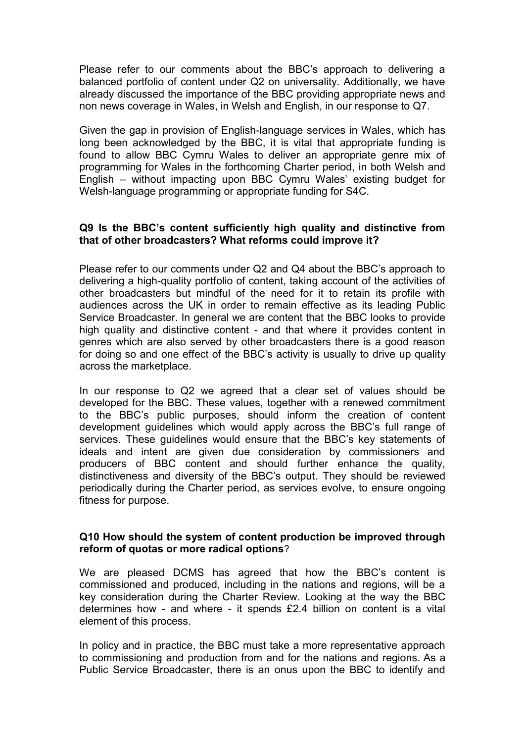Please refer to our comments about the BBC's approach to delivering a balanced portfolio of content under Q2 on universality. Additionally, we have already discussed the importance of the BBC providing appropriate news and non news coverage in Wales, in Welsh and English, in our response to Q7.

Given the gap in provision of English-language services in Wales, which has long been acknowledged by the BBC, it is vital that appropriate funding is found to allow BBC Cymru Wales to deliver an appropriate genre mix of programming for Wales in the forthcoming Charter period, in both Welsh and English – without impacting upon BBC Cymru Wales' existing budget for Welsh-language programming or appropriate funding for S4C.

### **Q9 Is the BBC's content sufficiently high quality and distinctive from that of other broadcasters? What reforms could improve it?**

Please refer to our comments under Q2 and Q4 about the BBC's approach to delivering a high-quality portfolio of content, taking account of the activities of other broadcasters but mindful of the need for it to retain its profile with audiences across the UK in order to remain effective as its leading Public Service Broadcaster. In general we are content that the BBC looks to provide high quality and distinctive content - and that where it provides content in genres which are also served by other broadcasters there is a good reason for doing so and one effect of the BBC's activity is usually to drive up quality across the marketplace.

In our response to Q2 we agreed that a clear set of values should be developed for the BBC. These values, together with a renewed commitment to the BBC's public purposes, should inform the creation of content development guidelines which would apply across the BBC's full range of services. These guidelines would ensure that the BBC's key statements of ideals and intent are given due consideration by commissioners and producers of BBC content and should further enhance the quality, distinctiveness and diversity of the BBC's output. They should be reviewed periodically during the Charter period, as services evolve, to ensure ongoing fitness for purpose.

### **Q10 How should the system of content production be improved through reform of quotas or more radical options**?

We are pleased DCMS has agreed that how the BBC's content is commissioned and produced, including in the nations and regions, will be a key consideration during the Charter Review. Looking at the way the BBC determines how - and where - it spends £2.4 billion on content is a vital element of this process.

In policy and in practice, the BBC must take a more representative approach to commissioning and production from and for the nations and regions. As a Public Service Broadcaster, there is an onus upon the BBC to identify and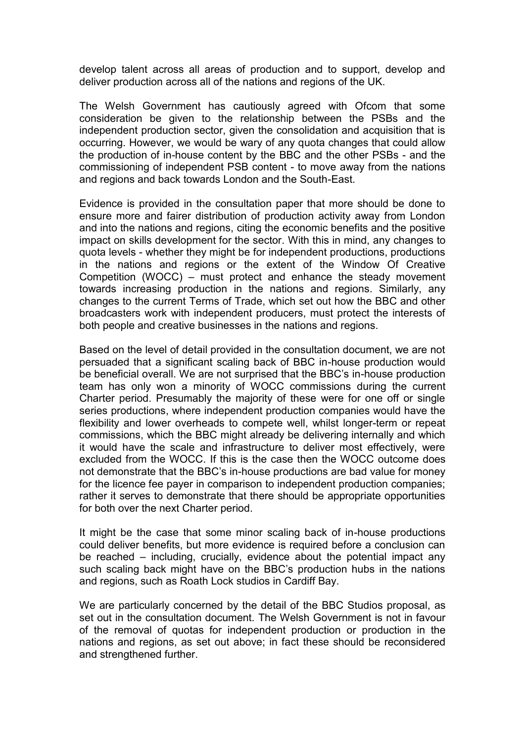develop talent across all areas of production and to support, develop and deliver production across all of the nations and regions of the UK.

The Welsh Government has cautiously agreed with Ofcom that some consideration be given to the relationship between the PSBs and the independent production sector, given the consolidation and acquisition that is occurring. However, we would be wary of any quota changes that could allow the production of in-house content by the BBC and the other PSBs - and the commissioning of independent PSB content - to move away from the nations and regions and back towards London and the South-East.

Evidence is provided in the consultation paper that more should be done to ensure more and fairer distribution of production activity away from London and into the nations and regions, citing the economic benefits and the positive impact on skills development for the sector. With this in mind, any changes to quota levels - whether they might be for independent productions, productions in the nations and regions or the extent of the Window Of Creative Competition (WOCC) – must protect and enhance the steady movement towards increasing production in the nations and regions. Similarly, any changes to the current Terms of Trade, which set out how the BBC and other broadcasters work with independent producers, must protect the interests of both people and creative businesses in the nations and regions.

Based on the level of detail provided in the consultation document, we are not persuaded that a significant scaling back of BBC in-house production would be beneficial overall. We are not surprised that the BBC's in-house production team has only won a minority of WOCC commissions during the current Charter period. Presumably the majority of these were for one off or single series productions, where independent production companies would have the flexibility and lower overheads to compete well, whilst longer-term or repeat commissions, which the BBC might already be delivering internally and which it would have the scale and infrastructure to deliver most effectively, were excluded from the WOCC. If this is the case then the WOCC outcome does not demonstrate that the BBC's in-house productions are bad value for money for the licence fee payer in comparison to independent production companies; rather it serves to demonstrate that there should be appropriate opportunities for both over the next Charter period.

It might be the case that some minor scaling back of in-house productions could deliver benefits, but more evidence is required before a conclusion can be reached – including, crucially, evidence about the potential impact any such scaling back might have on the BBC's production hubs in the nations and regions, such as Roath Lock studios in Cardiff Bay.

We are particularly concerned by the detail of the BBC Studios proposal, as set out in the consultation document. The Welsh Government is not in favour of the removal of quotas for independent production or production in the nations and regions, as set out above; in fact these should be reconsidered and strengthened further.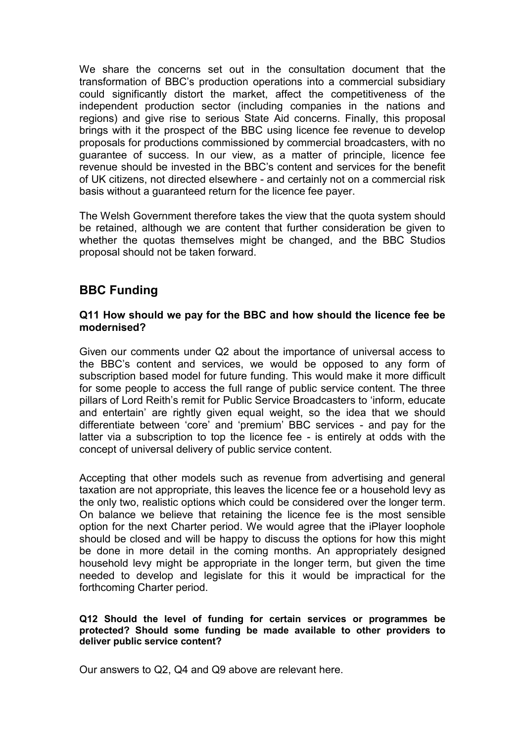We share the concerns set out in the consultation document that the transformation of BBC's production operations into a commercial subsidiary could significantly distort the market, affect the competitiveness of the independent production sector (including companies in the nations and regions) and give rise to serious State Aid concerns. Finally, this proposal brings with it the prospect of the BBC using licence fee revenue to develop proposals for productions commissioned by commercial broadcasters, with no guarantee of success. In our view, as a matter of principle, licence fee revenue should be invested in the BBC's content and services for the benefit of UK citizens, not directed elsewhere - and certainly not on a commercial risk basis without a guaranteed return for the licence fee payer.

The Welsh Government therefore takes the view that the quota system should be retained, although we are content that further consideration be given to whether the quotas themselves might be changed, and the BBC Studios proposal should not be taken forward.

# **BBC Funding**

#### **Q11 How should we pay for the BBC and how should the licence fee be modernised?**

Given our comments under Q2 about the importance of universal access to the BBC's content and services, we would be opposed to any form of subscription based model for future funding. This would make it more difficult for some people to access the full range of public service content. The three pillars of Lord Reith's remit for Public Service Broadcasters to 'inform, educate and entertain' are rightly given equal weight, so the idea that we should differentiate between 'core' and 'premium' BBC services - and pay for the latter via a subscription to top the licence fee - is entirely at odds with the concept of universal delivery of public service content.

Accepting that other models such as revenue from advertising and general taxation are not appropriate, this leaves the licence fee or a household levy as the only two, realistic options which could be considered over the longer term. On balance we believe that retaining the licence fee is the most sensible option for the next Charter period. We would agree that the iPlayer loophole should be closed and will be happy to discuss the options for how this might be done in more detail in the coming months. An appropriately designed household levy might be appropriate in the longer term, but given the time needed to develop and legislate for this it would be impractical for the forthcoming Charter period.

#### **Q12 Should the level of funding for certain services or programmes be protected? Should some funding be made available to other providers to deliver public service content?**

Our answers to Q2, Q4 and Q9 above are relevant here.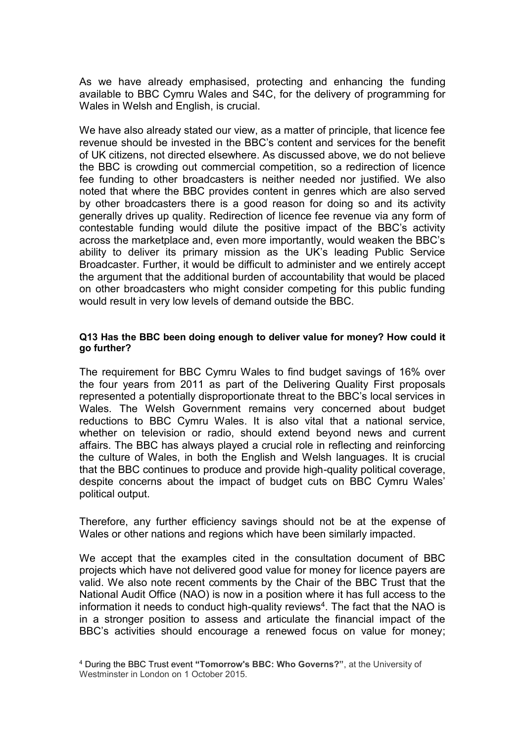As we have already emphasised, protecting and enhancing the funding available to BBC Cymru Wales and S4C, for the delivery of programming for Wales in Welsh and English, is crucial.

We have also already stated our view, as a matter of principle, that licence fee revenue should be invested in the BBC's content and services for the benefit of UK citizens, not directed elsewhere. As discussed above, we do not believe the BBC is crowding out commercial competition, so a redirection of licence fee funding to other broadcasters is neither needed nor justified. We also noted that where the BBC provides content in genres which are also served by other broadcasters there is a good reason for doing so and its activity generally drives up quality. Redirection of licence fee revenue via any form of contestable funding would dilute the positive impact of the BBC's activity across the marketplace and, even more importantly, would weaken the BBC's ability to deliver its primary mission as the UK's leading Public Service Broadcaster. Further, it would be difficult to administer and we entirely accept the argument that the additional burden of accountability that would be placed on other broadcasters who might consider competing for this public funding would result in very low levels of demand outside the BBC.

#### **Q13 Has the BBC been doing enough to deliver value for money? How could it go further?**

The requirement for BBC Cymru Wales to find budget savings of 16% over the four years from 2011 as part of the Delivering Quality First proposals represented a potentially disproportionate threat to the BBC's local services in Wales. The Welsh Government remains very concerned about budget reductions to BBC Cymru Wales. It is also vital that a national service, whether on television or radio, should extend beyond news and current affairs. The BBC has always played a crucial role in reflecting and reinforcing the culture of Wales, in both the English and Welsh languages. It is crucial that the BBC continues to produce and provide high-quality political coverage, despite concerns about the impact of budget cuts on BBC Cymru Wales' political output.

Therefore, any further efficiency savings should not be at the expense of Wales or other nations and regions which have been similarly impacted.

We accept that the examples cited in the consultation document of BBC projects which have not delivered good value for money for licence payers are valid. We also note recent comments by the Chair of the BBC Trust that the National Audit Office (NAO) is now in a position where it has full access to the information it needs to conduct high-quality reviews<sup>4</sup>. The fact that the NAO is in a stronger position to assess and articulate the financial impact of the BBC's activities should encourage a renewed focus on value for money;

<sup>4</sup> During the BBC Trust event **"Tomorrow's BBC: Who Governs?"**, at the University of Westminster in London on 1 October 2015.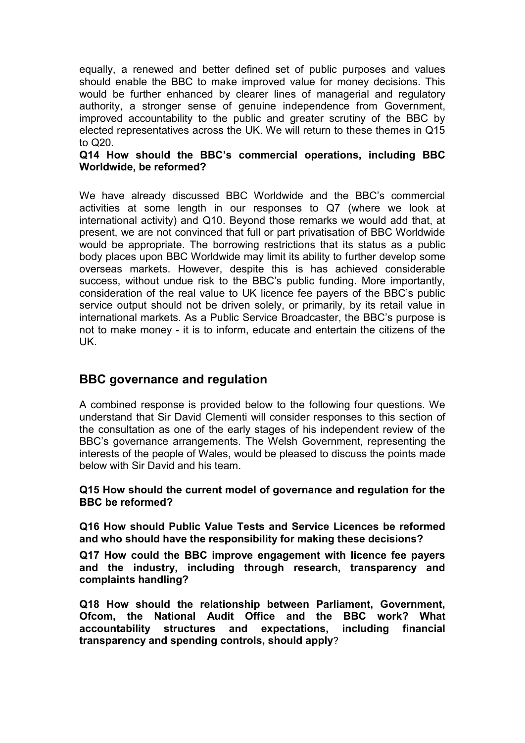equally, a renewed and better defined set of public purposes and values should enable the BBC to make improved value for money decisions. This would be further enhanced by clearer lines of managerial and regulatory authority, a stronger sense of genuine independence from Government, improved accountability to the public and greater scrutiny of the BBC by elected representatives across the UK. We will return to these themes in Q15 to Q20.

### **Q14 How should the BBC's commercial operations, including BBC Worldwide, be reformed?**

We have already discussed BBC Worldwide and the BBC's commercial activities at some length in our responses to Q7 (where we look at international activity) and Q10. Beyond those remarks we would add that, at present, we are not convinced that full or part privatisation of BBC Worldwide would be appropriate. The borrowing restrictions that its status as a public body places upon BBC Worldwide may limit its ability to further develop some overseas markets. However, despite this is has achieved considerable success, without undue risk to the BBC's public funding. More importantly, consideration of the real value to UK licence fee payers of the BBC's public service output should not be driven solely, or primarily, by its retail value in international markets. As a Public Service Broadcaster, the BBC's purpose is not to make money - it is to inform, educate and entertain the citizens of the UK.

# **BBC governance and regulation**

A combined response is provided below to the following four questions. We understand that Sir David Clementi will consider responses to this section of the consultation as one of the early stages of his independent review of the BBC's governance arrangements. The Welsh Government, representing the interests of the people of Wales, would be pleased to discuss the points made below with Sir David and his team.

### **Q15 How should the current model of governance and regulation for the BBC be reformed?**

**Q16 How should Public Value Tests and Service Licences be reformed and who should have the responsibility for making these decisions?** 

**Q17 How could the BBC improve engagement with licence fee payers and the industry, including through research, transparency and complaints handling?** 

**Q18 How should the relationship between Parliament, Government, Ofcom, the National Audit Office and the BBC work? What accountability structures and expectations, including financial transparency and spending controls, should apply**?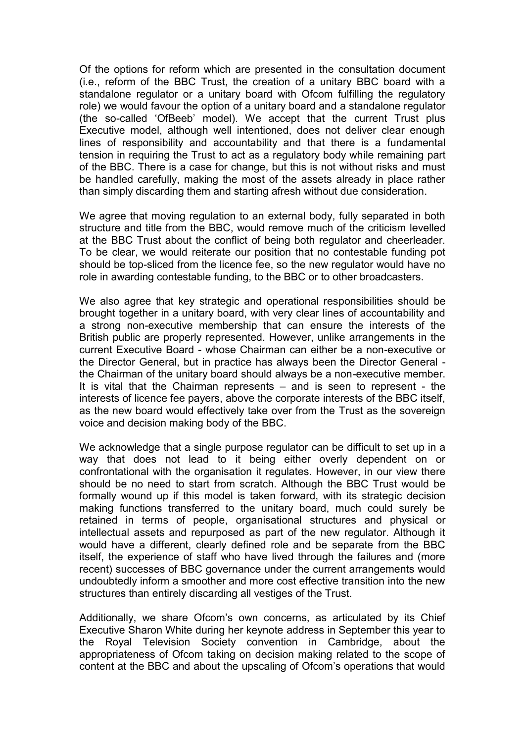Of the options for reform which are presented in the consultation document (i.e., reform of the BBC Trust, the creation of a unitary BBC board with a standalone regulator or a unitary board with Ofcom fulfilling the regulatory role) we would favour the option of a unitary board and a standalone regulator (the so-called 'OfBeeb' model). We accept that the current Trust plus Executive model, although well intentioned, does not deliver clear enough lines of responsibility and accountability and that there is a fundamental tension in requiring the Trust to act as a regulatory body while remaining part of the BBC. There is a case for change, but this is not without risks and must be handled carefully, making the most of the assets already in place rather than simply discarding them and starting afresh without due consideration.

We agree that moving regulation to an external body, fully separated in both structure and title from the BBC, would remove much of the criticism levelled at the BBC Trust about the conflict of being both regulator and cheerleader. To be clear, we would reiterate our position that no contestable funding pot should be top-sliced from the licence fee, so the new regulator would have no role in awarding contestable funding, to the BBC or to other broadcasters.

We also agree that key strategic and operational responsibilities should be brought together in a unitary board, with very clear lines of accountability and a strong non-executive membership that can ensure the interests of the British public are properly represented. However, unlike arrangements in the current Executive Board - whose Chairman can either be a non-executive or the Director General, but in practice has always been the Director General the Chairman of the unitary board should always be a non-executive member. It is vital that the Chairman represents – and is seen to represent - the interests of licence fee payers, above the corporate interests of the BBC itself, as the new board would effectively take over from the Trust as the sovereign voice and decision making body of the BBC.

We acknowledge that a single purpose regulator can be difficult to set up in a way that does not lead to it being either overly dependent on or confrontational with the organisation it regulates. However, in our view there should be no need to start from scratch. Although the BBC Trust would be formally wound up if this model is taken forward, with its strategic decision making functions transferred to the unitary board, much could surely be retained in terms of people, organisational structures and physical or intellectual assets and repurposed as part of the new regulator. Although it would have a different, clearly defined role and be separate from the BBC itself, the experience of staff who have lived through the failures and (more recent) successes of BBC governance under the current arrangements would undoubtedly inform a smoother and more cost effective transition into the new structures than entirely discarding all vestiges of the Trust.

Additionally, we share Ofcom's own concerns, as articulated by its Chief Executive Sharon White during her keynote address in September this year to the Royal Television Society convention in Cambridge, about the appropriateness of Ofcom taking on decision making related to the scope of content at the BBC and about the upscaling of Ofcom's operations that would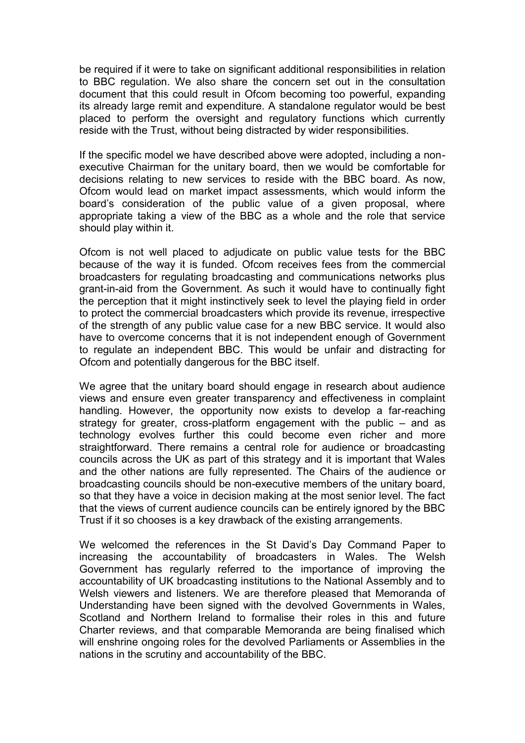be required if it were to take on significant additional responsibilities in relation to BBC regulation. We also share the concern set out in the consultation document that this could result in Ofcom becoming too powerful, expanding its already large remit and expenditure. A standalone regulator would be best placed to perform the oversight and regulatory functions which currently reside with the Trust, without being distracted by wider responsibilities.

If the specific model we have described above were adopted, including a nonexecutive Chairman for the unitary board, then we would be comfortable for decisions relating to new services to reside with the BBC board. As now, Ofcom would lead on market impact assessments, which would inform the board's consideration of the public value of a given proposal, where appropriate taking a view of the BBC as a whole and the role that service should play within it.

Ofcom is not well placed to adjudicate on public value tests for the BBC because of the way it is funded. Ofcom receives fees from the commercial broadcasters for regulating broadcasting and communications networks plus grant-in-aid from the Government. As such it would have to continually fight the perception that it might instinctively seek to level the playing field in order to protect the commercial broadcasters which provide its revenue, irrespective of the strength of any public value case for a new BBC service. It would also have to overcome concerns that it is not independent enough of Government to regulate an independent BBC. This would be unfair and distracting for Ofcom and potentially dangerous for the BBC itself.

We agree that the unitary board should engage in research about audience views and ensure even greater transparency and effectiveness in complaint handling. However, the opportunity now exists to develop a far-reaching strategy for greater, cross-platform engagement with the public – and as technology evolves further this could become even richer and more straightforward. There remains a central role for audience or broadcasting councils across the UK as part of this strategy and it is important that Wales and the other nations are fully represented. The Chairs of the audience or broadcasting councils should be non-executive members of the unitary board, so that they have a voice in decision making at the most senior level. The fact that the views of current audience councils can be entirely ignored by the BBC Trust if it so chooses is a key drawback of the existing arrangements.

We welcomed the references in the St David's Day Command Paper to increasing the accountability of broadcasters in Wales. The Welsh Government has regularly referred to the importance of improving the accountability of UK broadcasting institutions to the National Assembly and to Welsh viewers and listeners. We are therefore pleased that Memoranda of Understanding have been signed with the devolved Governments in Wales, Scotland and Northern Ireland to formalise their roles in this and future Charter reviews, and that comparable Memoranda are being finalised which will enshrine ongoing roles for the devolved Parliaments or Assemblies in the nations in the scrutiny and accountability of the BBC.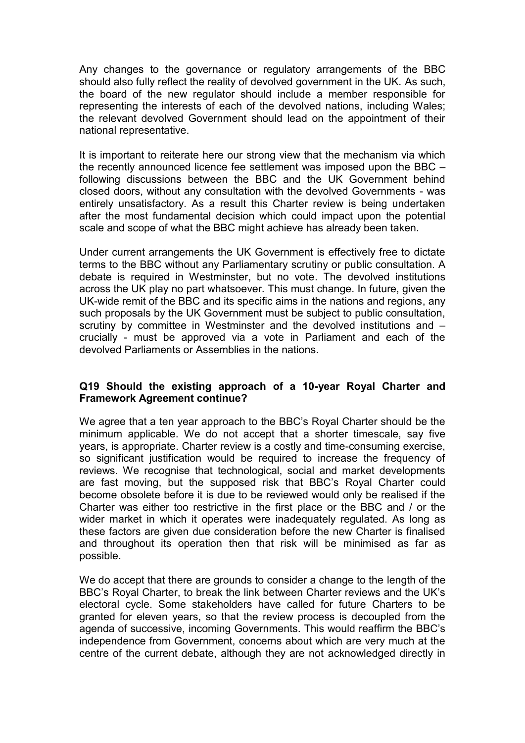Any changes to the governance or regulatory arrangements of the BBC should also fully reflect the reality of devolved government in the UK. As such, the board of the new regulator should include a member responsible for representing the interests of each of the devolved nations, including Wales; the relevant devolved Government should lead on the appointment of their national representative.

It is important to reiterate here our strong view that the mechanism via which the recently announced licence fee settlement was imposed upon the BBC – following discussions between the BBC and the UK Government behind closed doors, without any consultation with the devolved Governments - was entirely unsatisfactory. As a result this Charter review is being undertaken after the most fundamental decision which could impact upon the potential scale and scope of what the BBC might achieve has already been taken.

Under current arrangements the UK Government is effectively free to dictate terms to the BBC without any Parliamentary scrutiny or public consultation. A debate is required in Westminster, but no vote. The devolved institutions across the UK play no part whatsoever. This must change. In future, given the UK-wide remit of the BBC and its specific aims in the nations and regions, any such proposals by the UK Government must be subject to public consultation, scrutiny by committee in Westminster and the devolved institutions and – crucially - must be approved via a vote in Parliament and each of the devolved Parliaments or Assemblies in the nations.

### **Q19 Should the existing approach of a 10-year Royal Charter and Framework Agreement continue?**

We agree that a ten year approach to the BBC's Royal Charter should be the minimum applicable. We do not accept that a shorter timescale, say five years, is appropriate. Charter review is a costly and time-consuming exercise, so significant justification would be required to increase the frequency of reviews. We recognise that technological, social and market developments are fast moving, but the supposed risk that BBC's Royal Charter could become obsolete before it is due to be reviewed would only be realised if the Charter was either too restrictive in the first place or the BBC and / or the wider market in which it operates were inadequately regulated. As long as these factors are given due consideration before the new Charter is finalised and throughout its operation then that risk will be minimised as far as possible.

We do accept that there are grounds to consider a change to the length of the BBC's Royal Charter, to break the link between Charter reviews and the UK's electoral cycle. Some stakeholders have called for future Charters to be granted for eleven years, so that the review process is decoupled from the agenda of successive, incoming Governments. This would reaffirm the BBC's independence from Government, concerns about which are very much at the centre of the current debate, although they are not acknowledged directly in